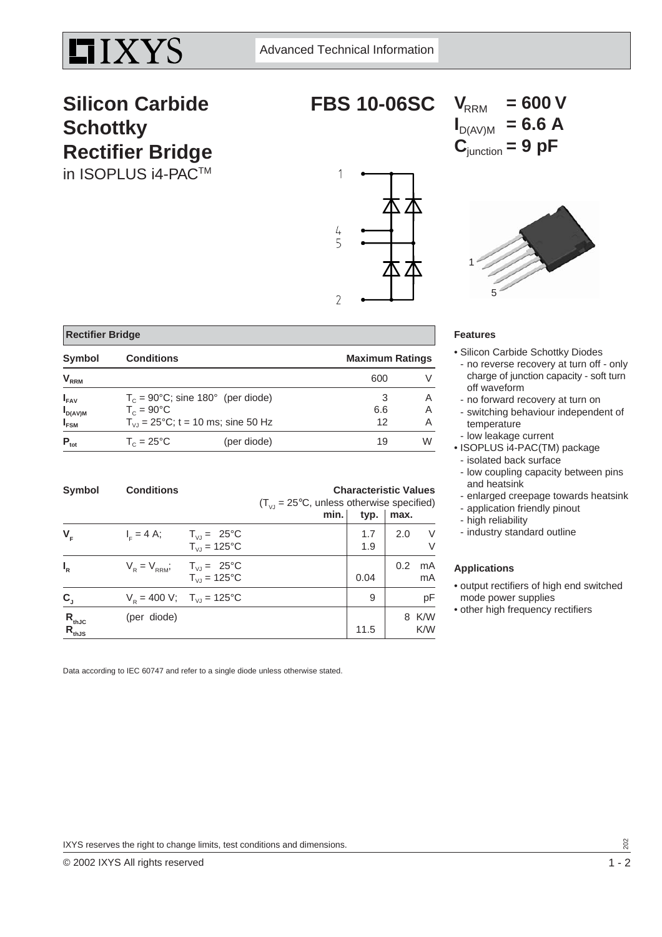$\overline{1}$ 

 $rac{4}{5}$ 

 $\overline{\phantom{a}}$ 



**Silicon Carbide Schottky Rectifier Bridge**

in ISOPLUS i4-PAC™

**FBS 10-06SC**





## **Features**

• Silicon Carbide Schottky Diodes

- no reverse recovery at turn off only charge of junction capacity - soft turn off waveform
- no forward recovery at turn on
- switching behaviour independent of temperature
- low leakage current
- ISOPLUS i4-PAC(TM) package
- isolated back surface
- low coupling capacity between pins and heatsink
- enlarged creepage towards heatsink
- application friendly pinout
- high reliability
- industry standard outline

## **Applications**

- output rectifiers of high end switched mode power supplies
- other high frequency rectifiers

 **Rectifier Bridge**

| <b>Symbol</b>                          | <b>Conditions</b>    |                                                                                       | <b>Maximum Ratings</b> |   |
|----------------------------------------|----------------------|---------------------------------------------------------------------------------------|------------------------|---|
| $V_{RRM}$                              |                      |                                                                                       | 600                    |   |
| $I_{FAV}$<br>$I_{D(AV)M}$<br>$I_{FSM}$ | $T_c = 90^{\circ}$ C | $T_c = 90^{\circ}$ C; sine 180° (per diode)<br>$T_{V1}$ = 25°C; t = 10 ms; sine 50 Hz | 3<br>6.6<br>12         |   |
| $P_{\text{tot}}$                       | $T_c = 25^{\circ}$ C | (per diode)                                                                           | 19                     | W |

| <b>Symbol</b>                | <b>Conditions</b> |                                                                      | <b>Characteristic Values</b><br>$(T_{V_1} = 25^{\circ}C$ , unless otherwise specified) |            |      |              |
|------------------------------|-------------------|----------------------------------------------------------------------|----------------------------------------------------------------------------------------|------------|------|--------------|
|                              |                   |                                                                      | min.                                                                                   | typ.       | max. |              |
| $V_F$                        | $I_{E} = 4$ A;    | $T_{\text{VJ}} = 25^{\circ}C$<br>$T_{V,I} = 125$ °C                  |                                                                                        | 1.7<br>1.9 | 2.0  | V<br>V       |
| $I_R$                        |                   | $V_R = V_{RRM}$ ; $T_{VJ} = 25^{\circ}C$<br>$T_{V,I} = 125$ °C       |                                                                                        | 0.04       | 0.2  | mA<br>mA     |
| $\mathbf{C}_{\mathsf{J}}$    |                   | $V_{\rm p} = 400 \text{ V}; \quad T_{\rm VJ} = 125^{\circ} \text{C}$ |                                                                                        | 9          |      | pF           |
| $R_{thJC}$<br>$R_{\rm thJS}$ | (per diode)       |                                                                      |                                                                                        | 11.5       |      | 8 K/W<br>K/W |

Data according to IEC 60747 and refer to a single diode unless otherwise stated.